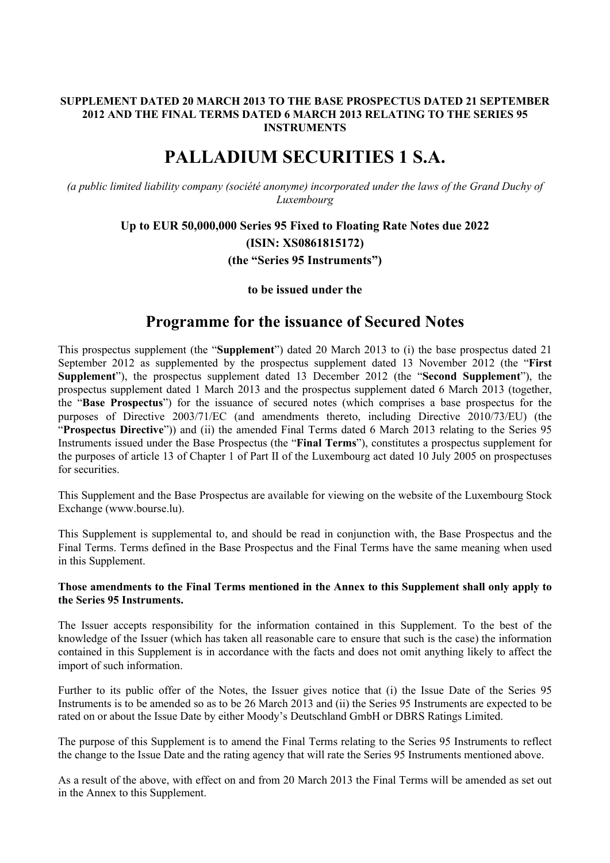# **SUPPLEMENT DATED 20 MARCH 2013 TO THE BASE PROSPECTUS DATED 21 SEPTEMBER 2012 AND THE FINAL TERMS DATED 6 MARCH 2013 RELATING TO THE SERIES 95 INSTRUMENTS**

# **PALLADIUM SECURITIES 1 S.A.**

*(a public limited liability company (société anonyme) incorporated under the laws of the Grand Duchy of Luxembourg*

# **Up to EUR 50,000,000 Series 95 Fixed to Floating Rate Notes due 2022 (ISIN: XS0861815172) (the "Series 95 Instruments")**

# **to be issued under the**

# **Programme for the issuance of Secured Notes**

This prospectus supplement (the "**Supplement**") dated 20 March 2013 to (i) the base prospectus dated 21 September 2012 as supplemented by the prospectus supplement dated 13 November 2012 (the "**First Supplement**"), the prospectus supplement dated 13 December 2012 (the "**Second Supplement**"), the prospectus supplement dated 1 March 2013 and the prospectus supplement dated 6 March 2013 (together, the "**Base Prospectus**") for the issuance of secured notes (which comprises a base prospectus for the purposes of Directive 2003/71/EC (and amendments thereto, including Directive 2010/73/EU) (the "**Prospectus Directive**")) and (ii) the amended Final Terms dated 6 March 2013 relating to the Series 95 Instruments issued under the Base Prospectus (the "**Final Terms**"), constitutes a prospectus supplement for the purposes of article 13 of Chapter 1 of Part II of the Luxembourg act dated 10 July 2005 on prospectuses for securities.

This Supplement and the Base Prospectus are available for viewing on the website of the Luxembourg Stock Exchange (www.bourse.lu).

This Supplement is supplemental to, and should be read in conjunction with, the Base Prospectus and the Final Terms. Terms defined in the Base Prospectus and the Final Terms have the same meaning when used in this Supplement.

#### **Those amendments to the Final Terms mentioned in the Annex to this Supplement shall only apply to the Series 95 Instruments.**

The Issuer accepts responsibility for the information contained in this Supplement. To the best of the knowledge of the Issuer (which has taken all reasonable care to ensure that such is the case) the information contained in this Supplement is in accordance with the facts and does not omit anything likely to affect the import of such information.

Further to its public offer of the Notes, the Issuer gives notice that (i) the Issue Date of the Series 95 Instruments is to be amended so as to be 26 March 2013 and (ii) the Series 95 Instruments are expected to be rated on or about the Issue Date by either Moody's Deutschland GmbH or DBRS Ratings Limited.

The purpose of this Supplement is to amend the Final Terms relating to the Series 95 Instruments to reflect the change to the Issue Date and the rating agency that will rate the Series 95 Instruments mentioned above.

As a result of the above, with effect on and from 20 March 2013 the Final Terms will be amended as set out in the Annex to this Supplement.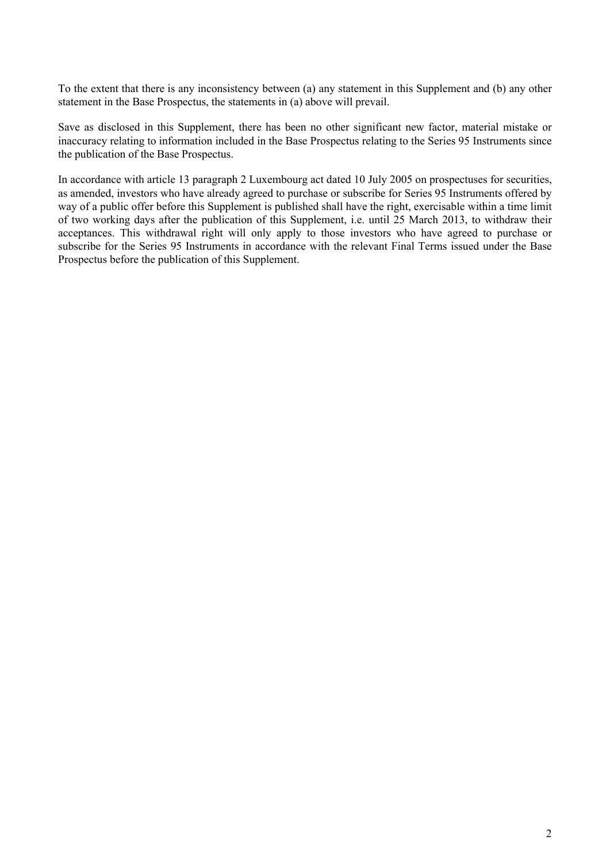To the extent that there is any inconsistency between (a) any statement in this Supplement and (b) any other statement in the Base Prospectus, the statements in (a) above will prevail.

Save as disclosed in this Supplement, there has been no other significant new factor, material mistake or inaccuracy relating to information included in the Base Prospectus relating to the Series 95 Instruments since the publication of the Base Prospectus.

In accordance with article 13 paragraph 2 Luxembourg act dated 10 July 2005 on prospectuses for securities, as amended, investors who have already agreed to purchase or subscribe for Series 95 Instruments offered by way of a public offer before this Supplement is published shall have the right, exercisable within a time limit of two working days after the publication of this Supplement, i.e. until 25 March 2013, to withdraw their acceptances. This withdrawal right will only apply to those investors who have agreed to purchase or subscribe for the Series 95 Instruments in accordance with the relevant Final Terms issued under the Base Prospectus before the publication of this Supplement.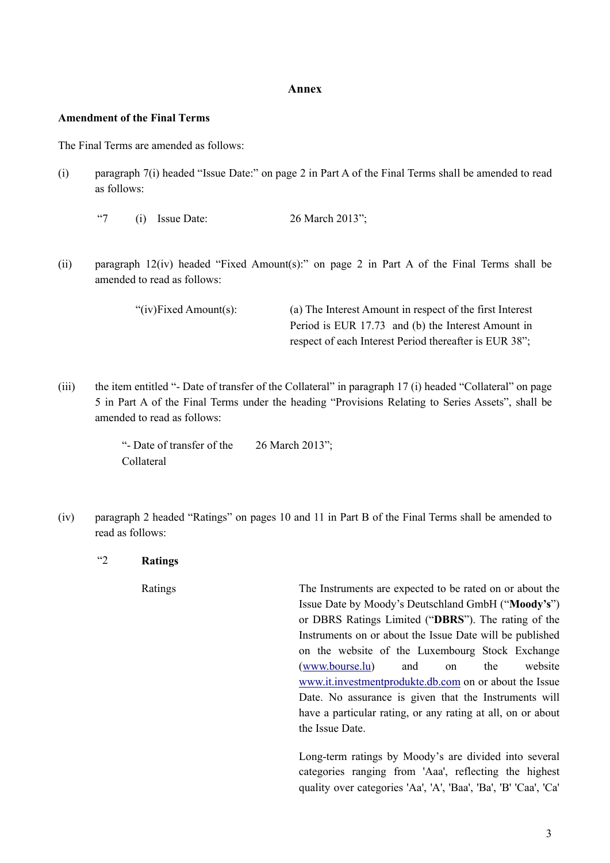#### **Annex**

#### **Amendment of the Final Terms**

The Final Terms are amended as follows:

- (i) paragraph 7(i) headed "Issue Date:" on page 2 in Part A of the Final Terms shall be amended to read as follows:
	- "7 (i) Issue Date:  $26$  March  $2013$ ";
- (ii) paragraph 12(iv) headed "Fixed Amount(s):" on page 2 in Part A of the Final Terms shall be amended to read as follows:

"(iv)Fixed Amount(s): (a) The Interest Amount in respect of the first Interest Period is EUR 17.73 and (b) the Interest Amount in respect of each Interest Period thereafter is EUR 38";

(iii) the item entitled "- Date of transfer of the Collateral" in paragraph 17 (i) headed "Collateral" on page 5 in Part A of the Final Terms under the heading "Provisions Relating to Series Assets", shall be amended to read as follows:

> "- Date of transfer of the Collateral 26 March 2013";

(iv) paragraph 2 headed "Ratings" on pages 10 and 11 in Part B of the Final Terms shall be amended to read as follows:

"2 **Ratings**

Ratings The Instruments are expected to be rated on or about the Issue Date by Moody's Deutschland GmbH ("**Moody's**") or DBRS Ratings Limited ("**DBRS**"). The rating of the Instruments on or about the Issue Date will be published on the website of the Luxembourg Stock Exchange ([www.bourse.lu](http://www.bourse.lu/)) and on the website [www.it.investmentprodukte.db.com](http://www.it.investmentprodukte.db.com/) on or about the Issue Date. No assurance is given that the Instruments will have a particular rating, or any rating at all, on or about the Issue Date.

> Long-term ratings by Moody's are divided into several categories ranging from 'Aaa', reflecting the highest quality over categories 'Aa', 'A', 'Baa', 'Ba', 'B' 'Caa', 'Ca'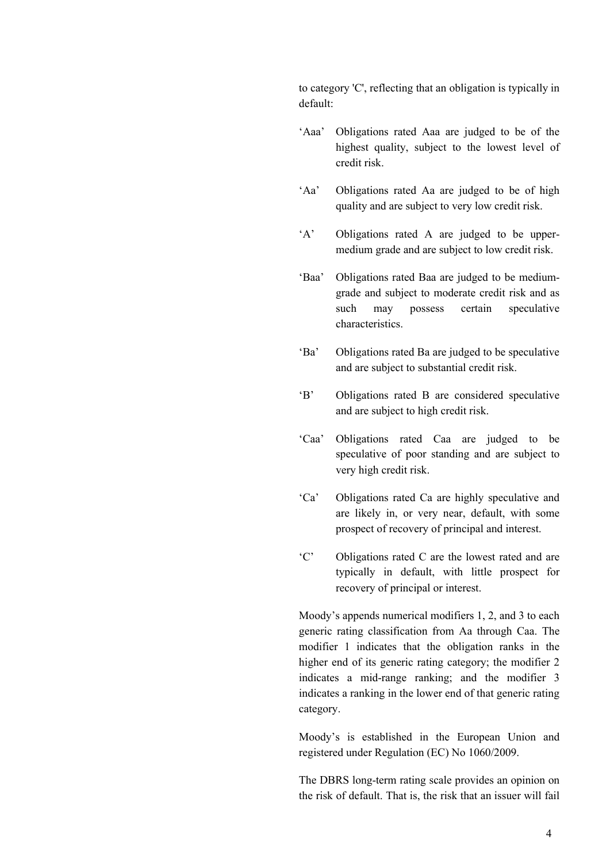to category 'C', reflecting that an obligation is typically in default:

- 'Aaa' Obligations rated Aaa are judged to be of the highest quality, subject to the lowest level of credit risk.
- 'Aa' Obligations rated Aa are judged to be of high quality and are subject to very low credit risk.
- 'A' Obligations rated A are judged to be uppermedium grade and are subject to low credit risk.
- 'Baa' Obligations rated Baa are judged to be mediumgrade and subject to moderate credit risk and as such may possess certain speculative characteristics.
- 'Ba' Obligations rated Ba are judged to be speculative and are subject to substantial credit risk.
- 'B' Obligations rated B are considered speculative and are subject to high credit risk.
- 'Caa' Obligations rated Caa are judged to be speculative of poor standing and are subject to very high credit risk.
- 'Ca' Obligations rated Ca are highly speculative and are likely in, or very near, default, with some prospect of recovery of principal and interest.
- 'C' Obligations rated C are the lowest rated and are typically in default, with little prospect for recovery of principal or interest.

Moody's appends numerical modifiers 1, 2, and 3 to each generic rating classification from Aa through Caa. The modifier 1 indicates that the obligation ranks in the higher end of its generic rating category; the modifier 2 indicates a mid-range ranking; and the modifier 3 indicates a ranking in the lower end of that generic rating category.

Moody's is established in the European Union and registered under Regulation (EC) No 1060/2009.

The DBRS long-term rating scale provides an opinion on the risk of default. That is, the risk that an issuer will fail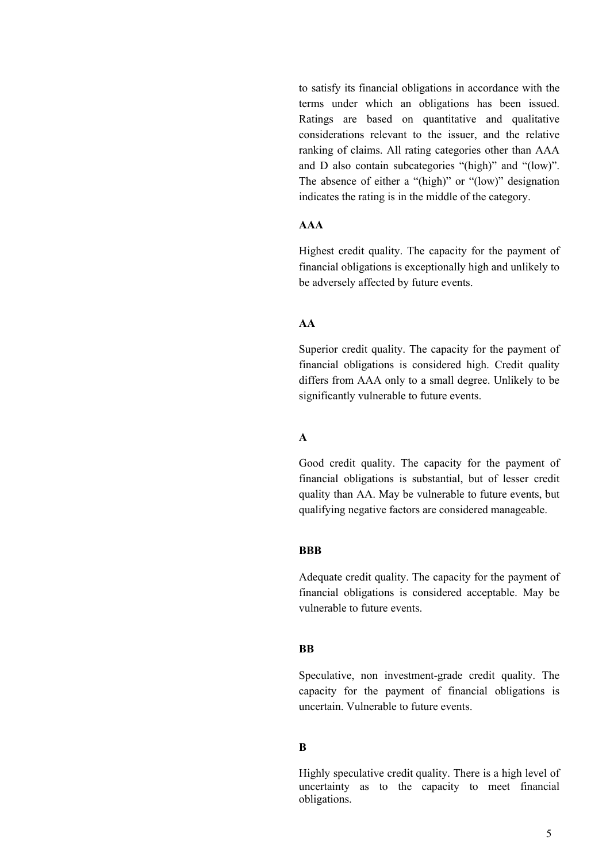to satisfy its financial obligations in accordance with the terms under which an obligations has been issued. Ratings are based on quantitative and qualitative considerations relevant to the issuer, and the relative ranking of claims. All rating categories other than AAA and D also contain subcategories "(high)" and "(low)". The absence of either a "(high)" or "(low)" designation indicates the rating is in the middle of the category.

# **AAA**

Highest credit quality. The capacity for the payment of financial obligations is exceptionally high and unlikely to be adversely affected by future events.

# **AA**

Superior credit quality. The capacity for the payment of financial obligations is considered high. Credit quality differs from AAA only to a small degree. Unlikely to be significantly vulnerable to future events.

#### **A**

Good credit quality. The capacity for the payment of financial obligations is substantial, but of lesser credit quality than AA. May be vulnerable to future events, but qualifying negative factors are considered manageable.

#### **BBB**

Adequate credit quality. The capacity for the payment of financial obligations is considered acceptable. May be vulnerable to future events.

## **BB**

Speculative, non investment-grade credit quality. The capacity for the payment of financial obligations is uncertain. Vulnerable to future events.

#### **B**

Highly speculative credit quality. There is a high level of uncertainty as to the capacity to meet financial obligations.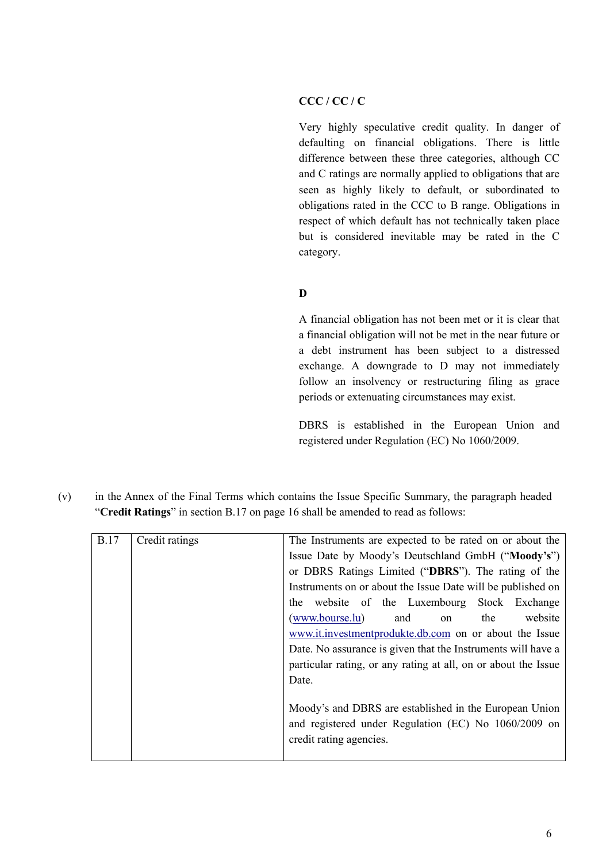# **CCC / CC / C**

Very highly speculative credit quality. In danger of defaulting on financial obligations. There is little difference between these three categories, although CC and C ratings are normally applied to obligations that are seen as highly likely to default, or subordinated to obligations rated in the CCC to B range. Obligations in respect of which default has not technically taken place but is considered inevitable may be rated in the C category.

# **D**

A financial obligation has not been met or it is clear that a financial obligation will not be met in the near future or a debt instrument has been subject to a distressed exchange. A downgrade to D may not immediately follow an insolvency or restructuring filing as grace periods or extenuating circumstances may exist.

DBRS is established in the European Union and registered under Regulation (EC) No 1060/2009.

(v) in the Annex of the Final Terms which contains the Issue Specific Summary, the paragraph headed "**Credit Ratings**" in section B.17 on page 16 shall be amended to read as follows:

| <b>B.17</b> | Credit ratings | The Instruments are expected to be rated on or about the       |
|-------------|----------------|----------------------------------------------------------------|
|             |                | Issue Date by Moody's Deutschland GmbH ("Moody's")             |
|             |                | or DBRS Ratings Limited ("DBRS"). The rating of the            |
|             |                | Instruments on or about the Issue Date will be published on    |
|             |                | the website of the Luxembourg Stock Exchange                   |
|             |                | website<br>(www.bourse.lu)<br>the<br>and<br><sub>on</sub>      |
|             |                | www.it.investmentprodukte.db.com on or about the Issue         |
|             |                | Date. No assurance is given that the Instruments will have a   |
|             |                | particular rating, or any rating at all, on or about the Issue |
|             |                | Date.                                                          |
|             |                |                                                                |
|             |                | Moody's and DBRS are established in the European Union         |
|             |                | and registered under Regulation (EC) No 1060/2009 on           |
|             |                | credit rating agencies.                                        |
|             |                |                                                                |